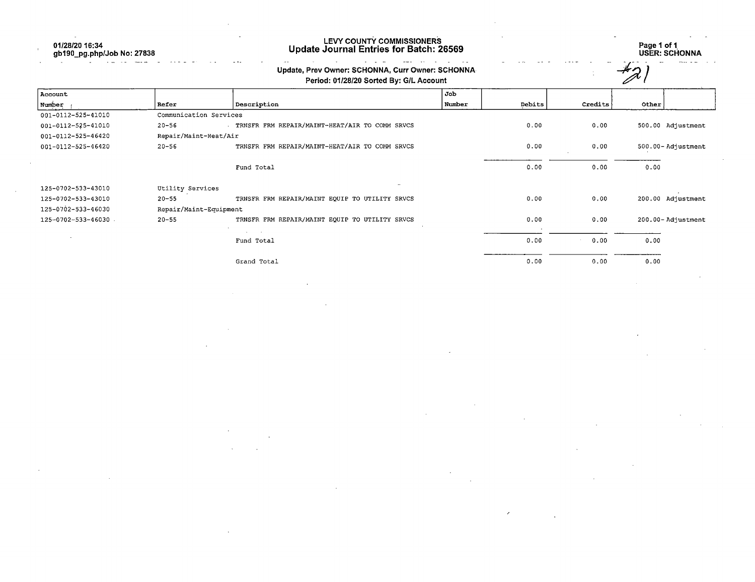01/28/20 16:34 gb190\_pg.php/Job No: 27838

## LEVY COUNTY COMMISSIONERS Update Journal Entries for Batch: 26569 Page 1 of 1

 $\sim$ 

Page 1 of 1<br>USER: SCHONNA

| Update, Prev Owner: SCHONNA, Curr Owner: SCHONNA |  |
|--------------------------------------------------|--|
| Bested, 04/00/00 Bested But Off, Association     |  |

|                    | Update, Prev Owner: SCHONNA, Curr Owner: SCHONNA<br>Period: 01/28/20 Sorted By: G/L Account |                                                  |        |        |         |                   |
|--------------------|---------------------------------------------------------------------------------------------|--------------------------------------------------|--------|--------|---------|-------------------|
| Account            |                                                                                             |                                                  | Job    |        |         |                   |
| Number             | Refer                                                                                       | Description                                      | Number | Debits | Credits | Other             |
| 001-0112-525-41010 | Communication Services                                                                      |                                                  |        |        |         |                   |
| 001-0112-525-41010 | $20 - 56$                                                                                   | . TRNSFR FRM REPAIR/MAINT-HEAT/AIR TO COMM SRVCS |        | 0.00   | 0.00    | 500.00 Adjustment |
| 001-0112-525-46420 | Repair/Maint-Heat/Air                                                                       |                                                  |        |        |         |                   |
| 001-0112-525-46420 | $20 - 56$                                                                                   | TRNSFR FRM REPAIR/MAINT-HEAT/AIR TO COMM SRVCS   |        | 0.00   | 0.00    | 500.00-Adjustment |
|                    |                                                                                             | Fund Total                                       |        | 0.00   | 0.00    | 0.00              |
| 125-0702-533-43010 | Utility Services                                                                            | ÷                                                |        |        |         |                   |
| 125-0702-533-43010 | $20 - 55$                                                                                   | TRNSFR FRM REPAIR/MAINT EQUIP TO UTILITY SRVCS   |        | 0.00   | 0.00    | 200.00 Adjustment |
| 125-0702-533-46030 | Repair/Maint-Equipment                                                                      |                                                  |        |        |         |                   |
| 125-0702-533-46030 | $20 - 55$                                                                                   | TRNSFR FRM REPAIR/MAINT EQUIP TO UTILITY SRVCS   |        | 0.00   | 0.00    | 200.00-Adjustment |
|                    |                                                                                             | Fund Total                                       |        | 0.00   | 0.00    | 0.00              |
|                    |                                                                                             | Grand Total                                      |        | 0.00   | 0.00    | 0.00              |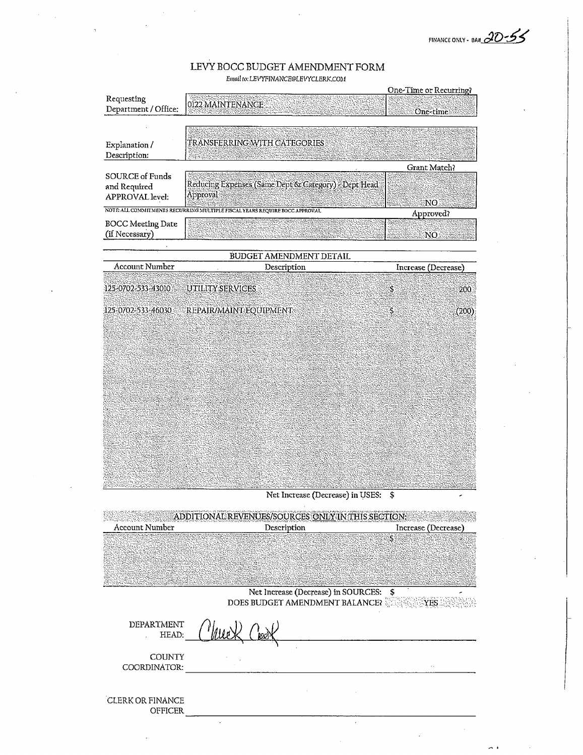FINANCE ONLY - BAH 20-55

## LEVY BOCC BUDGET AMENDMENT FORM Email to: LEVYFINANCE@LEVYCLERK.COM

|                          |                                                                            | One-Time or Recurring? |
|--------------------------|----------------------------------------------------------------------------|------------------------|
| Requesting               |                                                                            |                        |
| Department / Office:     | 0122 MAINTENANCE                                                           |                        |
|                          |                                                                            | One-time               |
|                          |                                                                            |                        |
|                          |                                                                            |                        |
| Explanation /            | TRANSFERRING WITH CATEGORIES                                               |                        |
| Description:             |                                                                            |                        |
|                          |                                                                            |                        |
|                          |                                                                            | Grant Match?           |
| <b>SOURCE of Funds</b>   |                                                                            |                        |
| and Required             | Reducing Expenses (Same Dept & Category) > Dept Head                       |                        |
| APPROVAL level:          | Approval                                                                   | NO                     |
|                          | NOTE ALL COMMITMENTS RECURRING MULTIPLE FISCAL YEARS REQUIRE BOCC APPROVAL | Approved?              |
|                          |                                                                            |                        |
| <b>BOCC</b> Meeting Date |                                                                            |                        |
| (if Necessary)           |                                                                            | NÓ.                    |
|                          |                                                                            |                        |
|                          | BUDGET AMENDMENT DETAIL                                                    |                        |
| Account Number           | Description                                                                | Increase (Decrease)    |
|                          |                                                                            |                        |
| 125-0702-533-43010       | UTILITY:SERVICES                                                           | \$<br>200              |
|                          |                                                                            |                        |
|                          |                                                                            |                        |
| 125-0702-533-46030       | <b>EREPAIR/MAINT EQUIPMENT</b>                                             | S<br>(200)             |
|                          |                                                                            |                        |
|                          |                                                                            |                        |
|                          |                                                                            |                        |
|                          |                                                                            |                        |

Net Increase (Decrease) in USES: \$

 $\bar{z}$ 

| AD<br>ENUES/SOURCES ONLY IN THIS SECTION: |                                             |                     |  |
|-------------------------------------------|---------------------------------------------|---------------------|--|
| <b>Account Number</b>                     | Description                                 | Increase (Decrease) |  |
|                                           |                                             | Š.                  |  |
|                                           |                                             |                     |  |
|                                           |                                             |                     |  |
|                                           |                                             |                     |  |
|                                           | Net Increase (Decrease) in SOURCES:         | Ş                   |  |
|                                           | DOES BUDGET AMENDMENT BALANCE? NESSENTIFIES |                     |  |
| DEPARTMENT<br>HEAD:                       |                                             |                     |  |
| <b>COUNTY</b>                             |                                             |                     |  |
| COORDINATOR:                              |                                             |                     |  |
|                                           |                                             |                     |  |
| CLERK OR FINANCE                          |                                             |                     |  |
| <b>OFFICER</b>                            |                                             |                     |  |